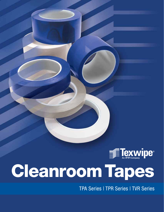

# Cleanroom[Tapes](http://www.texwipe.com)

TPA Series | TPR Series | TVR Series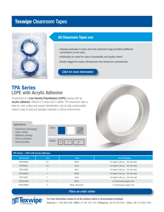# Texwipe Cleanroom Tapes



### **All Cleanroom Tapes are:**

- Uniquely packaged in press-and-seal cleanroom bags providing additional convenience to end users
- Individually lot coded for ease of traceability and quality control
- Double bagged for easier introductions into Cleanroom environments

*[Click for more information](https://www.texwipe.com/tapes)*

## **TPA Series** LDPE with Acrylic Adhesive

Constructed of a **Low Density Polyethylene (LDPE)** backing with an **acrylic adhesive**. Offered in 3 colors and 3 widths, TPA Cleanroom Tape is ideal for color coding and product identification, and its high conformability makes it easy to seal and package materials in critical environments.

#### Applications

- Cleanroom packaging
- Color coding
- Waferbox sealing
- Strong adhesion
- Hand-tearable





#### TPA Series – LDPE with Acrylic Adhesive Part Number Size Size Color Color Color Case Packaging TPA0596WH 1/2" White 24 bags/4 rolls ea. – 96 rolls total TPA0596CL 1/2" 1/2" Clear Clear 24 bags/4 rolls ea. – 96 rolls total TPA1048BL 1" 1" Blue Blue 24 bags/4 rolls ea.  $-48$  rolls total TPA1048WH 1" 1" White 24 bags/4 rolls ea. – 48 rolls total TPA1048CL 1" 1" Clear Clear 24 bags/4 rolls ea.  $-48$  rolls total TPA2024WH 2" 2" White 24 individually bagged rolls TPA2036WHC 2" White, Perforated 24 individually bagged rolls

#### *[Place an order online](https://www.texwipe.com/tapes?specs=94)*



 $\overline{\phantom{a}}$ 

**For more information contact us at the numbers below or [www.texwipe.com/tapes](http://www.texwipe.com/tapes)**  Americas +1 336 996 7046 | EMEA +31 88 1307 410 | Philippines +63 49 543 0241 | China +86 512 6303 3700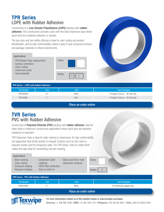# **TPR Series** LDPE with Rubber Adhesive

Constructed of a **Low Density Polyethylene (LDPE)** backing with **rubber adhesive**. This construction provides users with the ideal cleanroom tape where quick tack but moderate adhesion is needed.

The two color and two widths offering is ideal for color coding and product identification, and its high conformability makes it easy to seal compound surfaces and package materials in critical environments.

| <b>Applications</b>                                                                                             |        |                             |  |
|-----------------------------------------------------------------------------------------------------------------|--------|-----------------------------|--|
| - PVC/Rubber Tape replacement<br>- Surface protection<br>- Color coding<br>- Cleanroom build<br>- Hand-tearable | Colors |                             |  |
|                                                                                                                 | Widths | $\frac{1}{2}$ "<br>$-1, 33$ |  |



| TPR Series - LDPE with Rubber Adhesive |             |              |                                      |  |
|----------------------------------------|-------------|--------------|--------------------------------------|--|
| Part Number                            | <b>Size</b> | <b>Color</b> | Case Packaging                       |  |
| TPR0596WH                              | 1/2"        | White        | 24 bags/4 rolls ea. - 96 rolls total |  |
| <b>TPR1048BL</b>                       | $-1, 33$    | <b>Blue</b>  | 24 bags/4 rolls ea. - 48 rolls total |  |

*[Place an order online](https://www.texwipe.com/tapes?specs=94)*

# **TVR Series** PVC with Rubber Adhesive

Constructed of **Polyvinyl Chloride (PVC)** backing with **rubber adhesive**. Ideal for clean build or cleanroom construction applications where quick tack and abrasion resistance is important.

TVR Cleanroom Tape is ideal for aisle marking in cleanrooms. Its high conformability and aggressive tack bonds quickly to irregular surfaces such as duct work or visqueen sheets used for temporary walls. The TVR Series' write-on matte finish makes this tape ideal for handwriting and pen marking.

#### Applications

j

- Aisle marking
- Color coding
- Ductwork sealing
- HEPA filter protection

- Cleanroom build - Labeling

- Visqueen hanging - Easy to write on

| - Clean peal from most | Color |
|------------------------|-------|
| cleanroom surfaces     |       |

Colors

| Colors |  |
|--------|--|
|        |  |
| Widths |  |

| TVR Series - PVC with Rubber Adhesive |      |       |                              |  |
|---------------------------------------|------|-------|------------------------------|--|
| <b>Part Number</b>                    | Size | Color | Case Packaging               |  |
| <b>TVR2024WH</b>                      |      | White | 24 individually bagged rolls |  |
| Dlogo on order opling                 |      |       |                              |  |

#### *[Place an order online](https://www.texwipe.com/tapes?specs=94)*



**For more information contact us at the numbers below or [www.texwipe.com/tapes](http://www.texwipe.com/tapes)** 

Americas +1 336 996 7046 | EMEA +31 88 1307 410 | Philippines +63 49 543 0241 | China +86 512 6303 3700